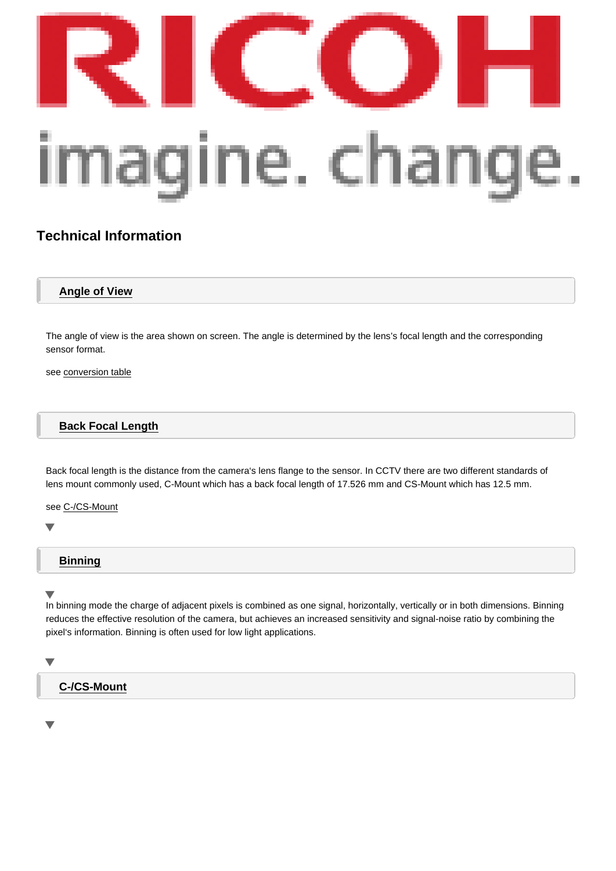# [Technical Information](/en/machine-vision-division.html)

## Angle of View

The angle of view is the area shown on screen. The angle is determined by the lens's focal length and the corresponding sensor format.

see conversion table

## **[Back Focal Len](#page-14-0)gth**

Back focal length is the distance from the camera's lens flange to the sensor. In CCTV there are two different standards of lens mount commonly used, C-Mount which has a back focal length of 17.526 mm and CS-Mount which has 12.5 mm.

see C-/CS-Mount

 $\overline{\phantom{0}}$ 

## Binning

In binning mode the charge of adjacent pixels is combined as one signal, horizontally, vertically or in both dimensions. Binning reduces the effective resolution of the camera, but achieves an increased sensitivity and signal-noise ratio by combining the pixel's information. Binning is often used for low light applications.

C-/CS-Mount

v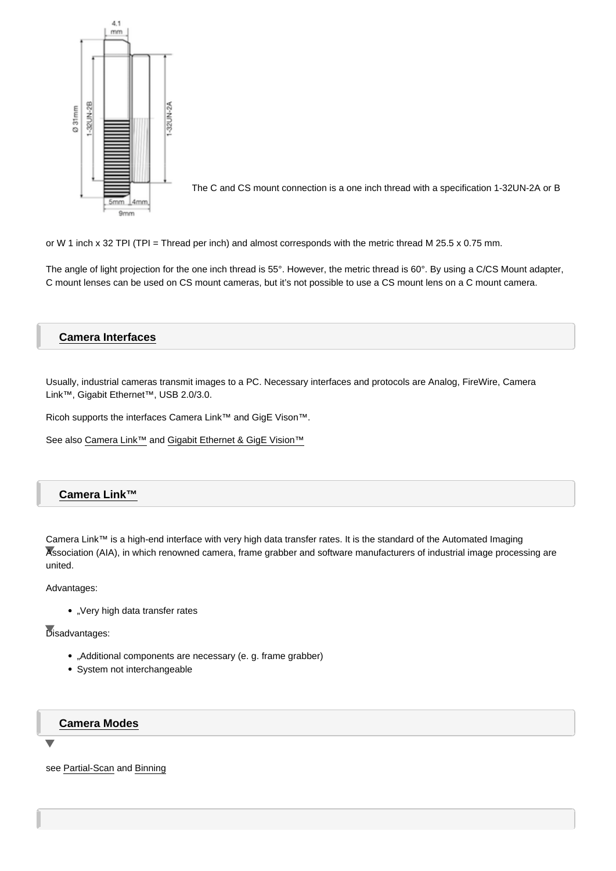The C and CS mount connection is a one inch thread with a specification 1-32UN-2A or B

or W 1 inch x 32 TPI (TPI = Thread per inch) and almost corresponds with the metric thread M 25.5 x 0.75 mm.

The angle of light projection for the one inch thread is 55°. However, the metric thread is 60°. By using a C/CS Mount adapter, C mount lenses can be used on CS mount cameras, but it's not possible to use a CS mount lens on a C mount camera.

## Camera Interfaces

Usually, industrial cameras transmit images to a PC. Necessary interfaces and protocols are Analog, FireWire, Camera Link™, Gigabit Ethernet™, USB 2.0/3.0.

Ricoh supports the interfaces Camera Link™ and GigE Vison™.

See also Camera Link™ and Gigabit Ethernet & GigE Vision™

## Camera Link™

Camera Link™ is a high-end interface with very high data transfer rates. It is the standard of the Automated Imaging Association (AIA), in which renowned camera, frame grabber and software manufacturers of industrial image processing are united.

#### Advantages:

• "Very high data transfer rates

Disadvantages:

- "Additional components are necessary (e. g. frame grabber)
- System not interchangeable

## Camera Modes

see Partial-Scan and Binning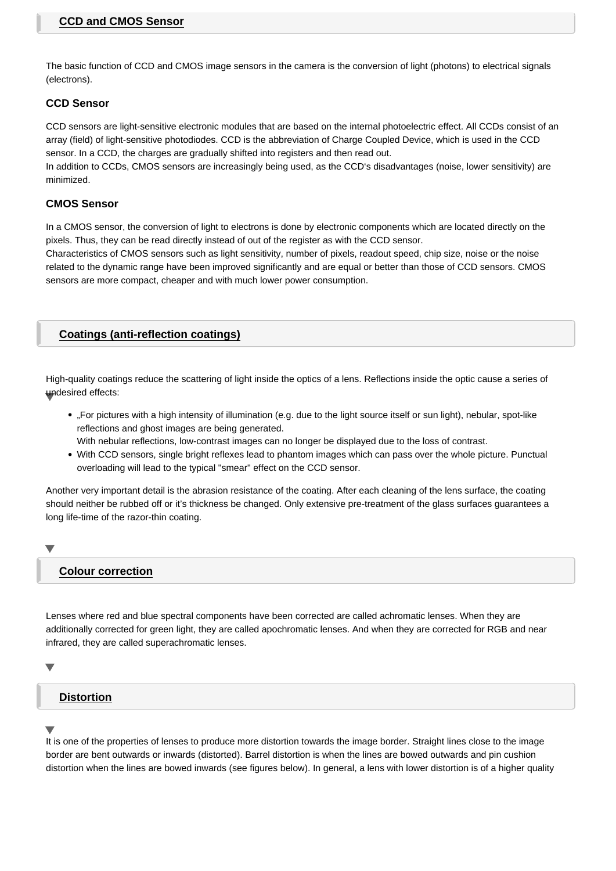<span id="page-2-0"></span>The basic function of CCD and CMOS image sensors in the camera is the conversion of light (photons) to electrical signals (electrons).

## **CCD Sensor**

CCD sensors are light-sensitive electronic modules that are based on the internal photoelectric effect. All CCDs consist of an array (field) of light-sensitive photodiodes. CCD is the abbreviation of Charge Coupled Device, which is used in the CCD sensor. In a CCD, the charges are gradually shifted into registers and then read out.

In addition to CCDs, CMOS sensors are increasingly being used, as the CCD's disadvantages (noise, lower sensitivity) are minimized.

## **CMOS Sensor**

In a CMOS sensor, the conversion of light to electrons is done by electronic components which are located directly on the pixels. Thus, they can be read directly instead of out of the register as with the CCD sensor.

Characteristics of CMOS sensors such as light sensitivity, number of pixels, readout speed, chip size, noise or the noise related to the dynamic range have been improved significantly and are equal or better than those of CCD sensors. CMOS sensors are more compact, cheaper and with much lower power consumption.

## **Coatings (anti-reflection coatings)**

High-quality coatings reduce the scattering of light inside the optics of a lens. Reflections inside the optic cause a series of undesired effects:

- "For pictures with a high intensity of illumination (e.g. due to the light source itself or sun light), nebular, spot-like reflections and ghost images are being generated.
- With nebular reflections, low-contrast images can no longer be displayed due to the loss of contrast.
- With CCD sensors, single bright reflexes lead to phantom images which can pass over the whole picture. Punctual overloading will lead to the typical "smear" effect on the CCD sensor.

Another very important detail is the abrasion resistance of the coating. After each cleaning of the lens surface, the coating should neither be rubbed off or it's thickness be changed. Only extensive pre-treatment of the glass surfaces guarantees a long life-time of the razor-thin coating.

## **Colour correction**

Lenses where red and blue spectral components have been corrected are called achromatic lenses. When they are additionally corrected for green light, they are called apochromatic lenses. And when they are corrected for RGB and near infrared, they are called superachromatic lenses.

## **Distortion**

It is one of the properties of lenses to produce more distortion towards the image border. Straight lines close to the image border are bent outwards or inwards (distorted). Barrel distortion is when the lines are bowed outwards and pin cushion distortion when the lines are bowed inwards (see figures below). In general, a lens with lower distortion is of a higher quality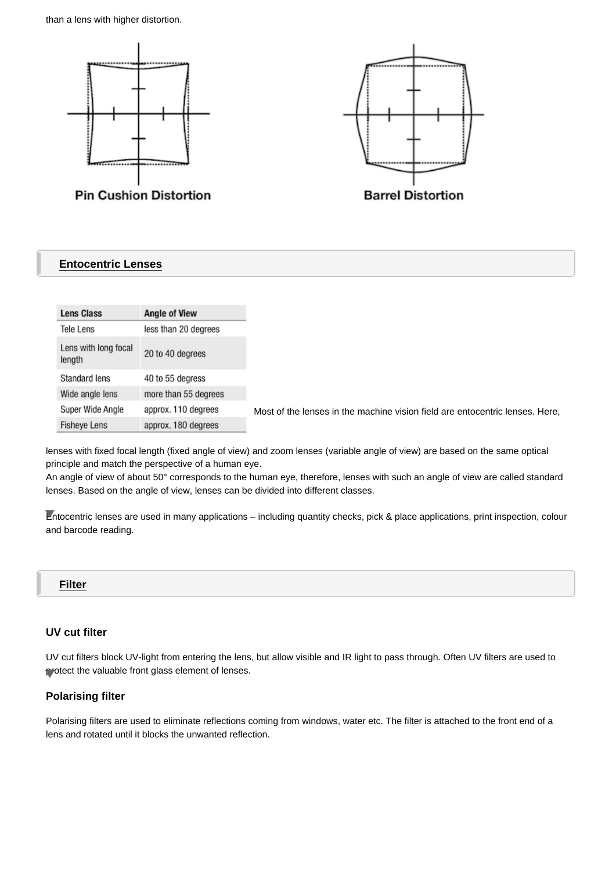than a lens with higher distortion.



## **Entocentric Lenses**

| <b>Lens Class</b>              | <b>Angle of View</b> |
|--------------------------------|----------------------|
| Tele Lens                      | less than 20 degrees |
| Lens with long focal<br>length | 20 to 40 degrees     |
| Standard lens                  | 40 to 55 degress     |
| Wide angle lens                | more than 55 degrees |
| Super Wide Angle               | approx. 110 degrees  |
| <b>Fisheye Lens</b>            | approx. 180 degrees  |

lenses with fixed focal length (fixed angle of view) and zoom lenses (variable angle of view) are based on the same optical principle and match the perspective of a human eye.

An angle of view of about 50° corresponds to the human eye, therefore, lenses with such an angle of view are called standard lenses. Based on the angle of view, lenses can be divided into different classes.

Entocentric lenses are used in many applications – including quantity checks, pick & place applications, print inspection, colour and barcode reading.

## **Filter**

## **UV cut filter**

UV cut filters block UV-light from entering the lens, but allow visible and IR light to pass through. Often UV filters are used to protect the valuable front glass element of lenses.

### **Polarising filter**

Polarising filters are used to eliminate reflections coming from windows, water etc. The filter is attached to the front end of a lens and rotated until it blocks the unwanted reflection.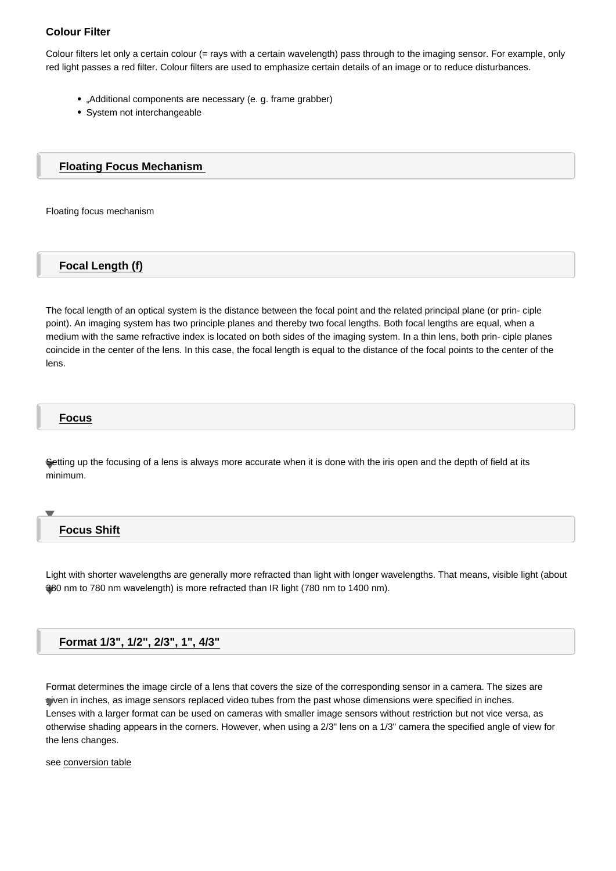Colour filters let only a certain colour (= rays with a certain wavelength) pass through to the imaging sensor. For example, only red light passes a red filter. Colour filters are used to emphasize certain details of an image or to reduce disturbances.

- "Additional components are necessary (e. g. frame grabber)
- System not interchangeable

Floating Focus Mechanism

Floating focus mechanism

## Focal Length (f)

The focal length of an optical system is the distance between the focal point and the related principal plane (or prin- ciple point). An imaging system has two principle planes and thereby two focal lengths. Both focal lengths are equal, when a medium with the same refractive index is located on both sides of the imaging system. In a thin lens, both prin- ciple planes coincide in the center of the lens. In this case, the focal length is equal to the distance of the focal points to the center of the lens.

#### Focus

Setting up the focusing of a lens is always more accurate when it is done with the iris open and the depth of field at its minimum.

### Focus Shift

Light with shorter wavelengths are generally more refracted than light with longer wavelengths. That means, visible light (about 380 nm to 780 nm wavelength) is more refracted than IR light (780 nm to 1400 nm).

#### Format 1/3", 1/2", 2/3", 1", 4/3"

Format determines the image circle of a lens that covers the size of the corresponding sensor in a camera. The sizes are given in inches, as image sensors replaced video tubes from the past whose dimensions were specified in inches. Lenses with a larger format can be used on cameras with smaller image sensors without restriction but not vice versa, as otherwise shading appears in the corners. However, when using a 2/3" lens on a 1/3" camera the specified angle of view for the lens changes.

see conversion table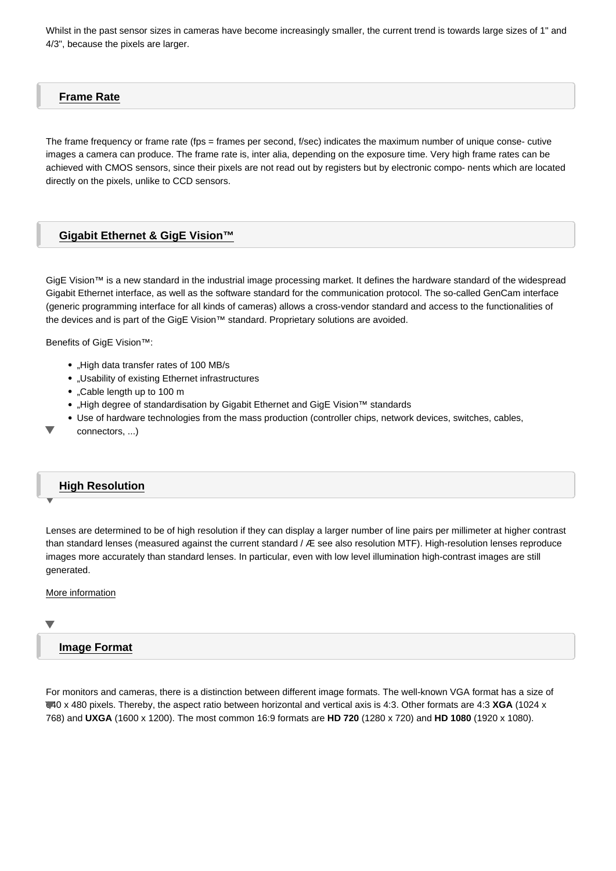## <span id="page-5-0"></span>Frame Rate

The frame frequency or frame rate (fps = frames per second, f/sec) indicates the maximum number of unique conse- cutive images a camera can produce. The frame rate is, inter alia, depending on the exposure time. Very high frame rates can be achieved with CMOS sensors, since their pixels are not read out by registers but by electronic compo- nents which are located directly on the pixels, unlike to CCD sensors.

### Gigabit Ethernet & GigE Vision™

GigE Vision™ is a new standard in the industrial image processing market. It defines the hardware standard of the widespread Gigabit Ethernet interface, as well as the software standard for the communication protocol. The so-called GenCam interface (generic programming interface for all kinds of cameras) allows a cross-vendor standard and access to the functionalities of the devices and is part of the GigE Vision™ standard. Proprietary solutions are avoided.

Benefits of GigE Vision™:

- "High data transfer rates of 100 MB/s
- "Usability of existing Ethernet infrastructures
- "Cable length up to 100 m
- . High degree of standardisation by Gigabit Ethernet and GigE Vision™ standards
- Use of hardware technologies from the mass production (controller chips, network devices, switches, cables,
- connectors, ...)

### High Resolution

Lenses are determined to be of high resolution if they can display a larger number of line pairs per millimeter at higher contrast than standard lenses (measured against the current standard / Æ see also resolution MTF). High-resolution lenses reproduce images more accurately than standard lenses. In particular, even with low level illumination high-contrast images are still generated.

#### More information

## [Image Form](/media/2a0623a386d57608b7c49cc52c7db592;d;inline/Why_Ricoh_Lenses_Are_High_Quality.pdf)at

For monitors and cameras, there is a distinction between different image formats. The well-known VGA format has a size of 640 x 480 pixels. Thereby, the aspect ratio between horizontal and vertical axis is 4:3. Other formats are 4:3 XGA (1024 x 768) and UXGA (1600 x 1200). The most common 16:9 formats are HD 720 (1280 x 720) and HD 1080 (1920 x 1080).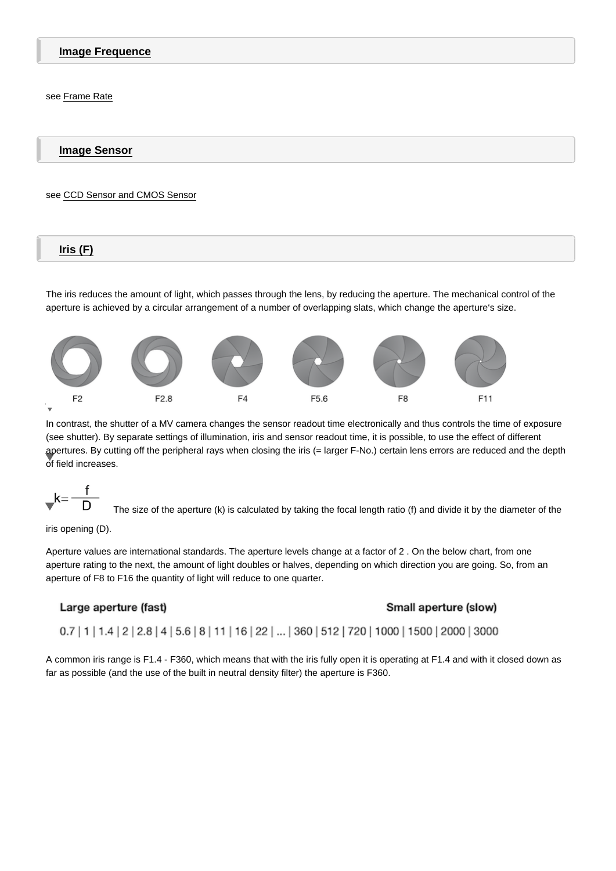Image Frequence

see Frame Rate

I[mage Sen](#page-5-0)sor

see CCD Sensor and CMOS Sensor

 $Iris$   $(F)$ 

The iris reduces the amount of light, which passes through the lens, by reducing the aperture. The mechanical control of the aperture is achieved by a circular arrangement of a number of overlapping slats, which change the aperture's size.

#### $\overline{\phantom{0}}$

In contrast, the shutter of a MV camera changes the sensor readout time electronically and thus controls the time of exposure (see shutter). By separate settings of illumination, iris and sensor readout time, it is possible, to use the effect of different apertures. By cutting off the peripheral rays when closing the iris (= larger F-No.) certain lens errors are reduced and the depth of field increases.

 $\blacktriangledown$ The size of the aperture (k) is calculated by taking the focal length ratio (f) and divide it by the diameter of the

iris opening (D).

Aperture values are international standards. The aperture levels change at a factor of 2 . On the below chart, from one aperture rating to the next, the amount of light doubles or halves, depending on which direction you are going. So, from an aperture of F8 to F16 the quantity of light will reduce to one quarter.

A common iris range is F1.4 - F360, which means that with the iris fully open it is operating at F1.4 and with it closed down as far as possible (and the use of the built in neutral density filter) the aperture is F360.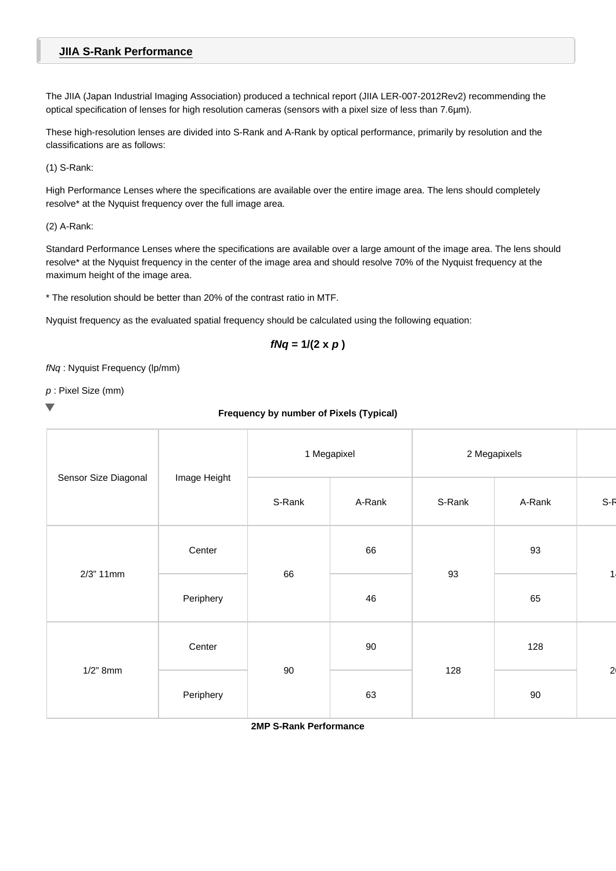## **JIIA S-Rank Performance**

The JIIA (Japan Industrial Imaging Association) produced a technical report (JIIA LER-007-2012Rev2) recommending the optical specification of lenses for high resolution cameras (sensors with a pixel size of less than 7.6µm).

These high-resolution lenses are divided into S-Rank and A-Rank by optical performance, primarily by resolution and the classifications are as follows:

(1) S-Rank:

High Performance Lenses where the specifications are available over the entire image area. The lens should completely resolve\* at the Nyquist frequency over the full image area.

### (2) A-Rank:

Standard Performance Lenses where the specifications are available over a large amount of the image area. The lens should resolve\* at the Nyquist frequency in the center of the image area and should resolve 70% of the Nyquist frequency at the maximum height of the image area.

\* The resolution should be better than 20% of the contrast ratio in MTF.

Nyquist frequency as the evaluated spatial frequency should be calculated using the following equation:

$$
fNq = 1/(2 \times p)
$$

fNq : Nyquist Frequency (lp/mm)

p : Pixel Size (mm)

## **Frequency by number of Pixels (Typical)**

| Sensor Size Diagonal |              | 1 Megapixel |        | 2 Megapixels |        |                |
|----------------------|--------------|-------------|--------|--------------|--------|----------------|
|                      | Image Height | S-Rank      | A-Rank | S-Rank       | A-Rank | S-F            |
| 2/3" 11mm            | Center       | 66          | 66     | 93           | 93     | $\overline{1}$ |
|                      | Periphery    |             | 46     |              | 65     |                |
| $1/2$ " 8mm          | Center       | 90          | 90     | 128          | 128    |                |
|                      | Periphery    |             | 63     |              | 90     | $\overline{a}$ |

**2MP S-Rank Performance**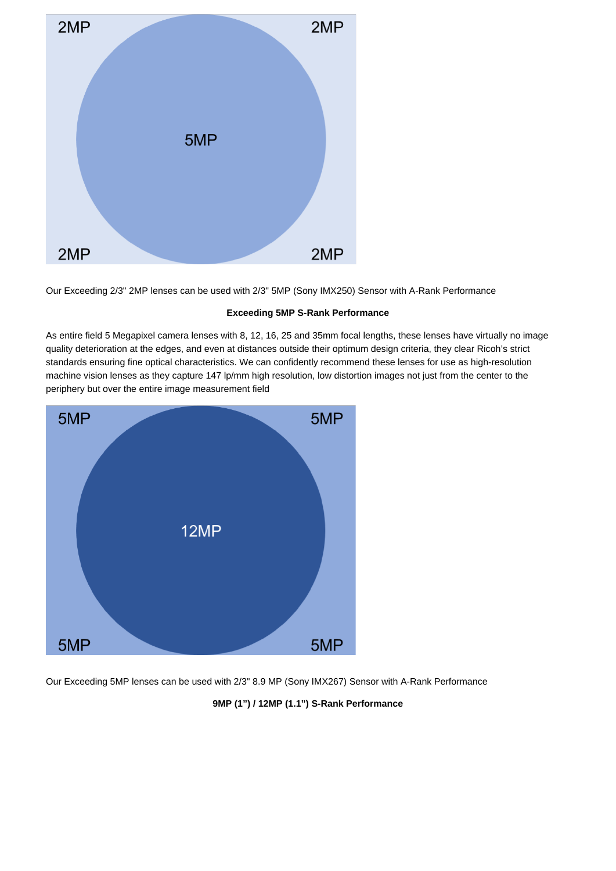

Our Exceeding 2/3" 2MP lenses can be used with 2/3" 5MP (Sony IMX250) Sensor with A-Rank Performance

### **Exceeding 5MP S-Rank Performance**

As entire field 5 Megapixel camera lenses with 8, 12, 16, 25 and 35mm focal lengths, these lenses have virtually no image quality deterioration at the edges, and even at distances outside their optimum design criteria, they clear Ricoh's strict standards ensuring fine optical characteristics. We can confidently recommend these lenses for use as high-resolution machine vision lenses as they capture 147 lp/mm high resolution, low distortion images not just from the center to the periphery but over the entire image measurement field



Our Exceeding 5MP lenses can be used with 2/3" 8.9 MP (Sony IMX267) Sensor with A-Rank Performance

## **9MP (1") / 12MP (1.1") S-Rank Performance**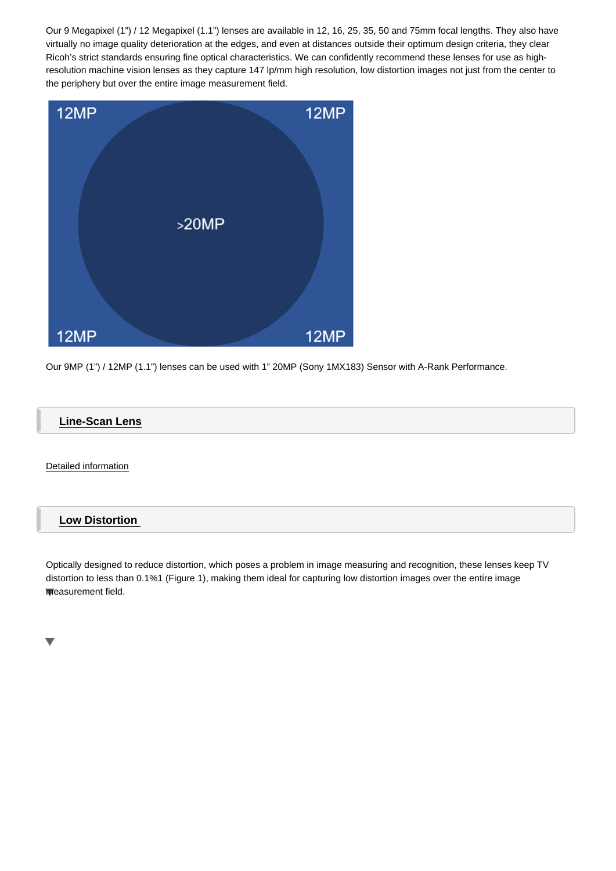Ricoh's strict standards ensuring fine optical characteristics. We can confidently recommend these lenses for use as highresolution machine vision lenses as they capture 147 lp/mm high resolution, low distortion images not just from the center to the periphery but over the entire image measurement field.

Our 9MP (1") / 12MP (1.1") lenses can be used with 1" 20MP (Sony 1MX183) Sensor with A-Rank Performance.

Line-Scan Lens

Detailed information

## [Low Distortion](/media/cca870ca759ef4935c48ff2b01c77884/Line-Scan_Lens_Data___Comparison_Test.pdf)

Optically designed to reduce distortion, which poses a problem in image measuring and recognition, these lenses keep TV distortion to less than 0.1% (Figure 1), making them ideal for capturing low distortion images over the entire image 1 measurement field.

 $\blacktriangledown$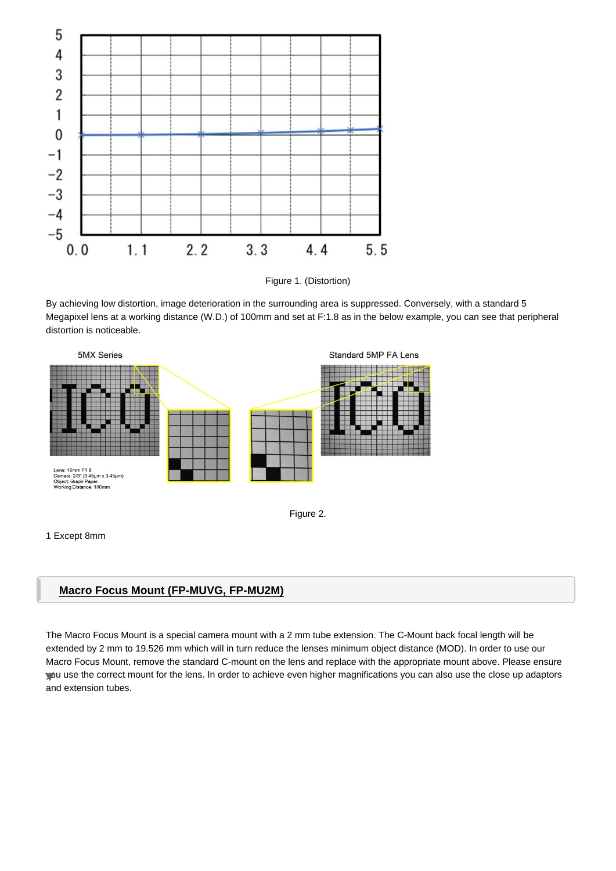

Figure 1. (Distortion)

By achieving low distortion, image deterioration in the surrounding area is suppressed. Conversely, with a standard 5 Megapixel lens at a working distance (W.D.) of 100mm and set at F:1.8 as in the below example, you can see that peripheral distortion is noticeable.



#### 1 Except 8mm

## **Macro Focus Mount (FP-MUVG, FP-MU2M)**

The Macro Focus Mount is a special camera mount with a 2 mm tube extension. The C-Mount back focal length will be extended by 2 mm to 19.526 mm which will in turn reduce the lenses minimum object distance (MOD). In order to use our Macro Focus Mount, remove the standard C-mount on the lens and replace with the appropriate mount above. Please ensure you use the correct mount for the lens. In order to achieve even higher magnifications you can also use the close up adaptors and extension tubes.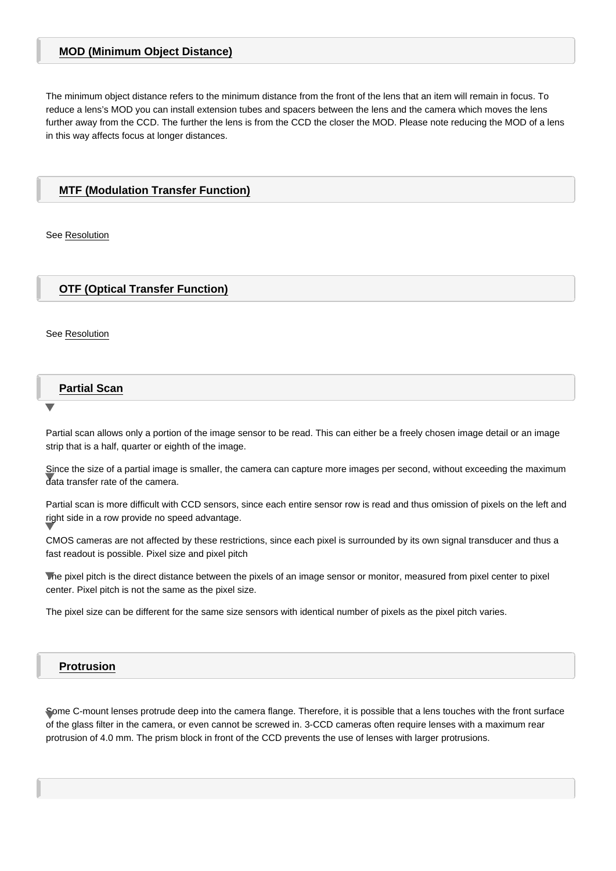The minimum object distance refers to the minimum distance from the front of the lens that an item will remain in focus. To reduce a lens's MOD you can install extension tubes and spacers between the lens and the camera which moves the lens further away from the CCD. The further the lens is from the CCD the closer the MOD. Please note reducing the MOD of a lens in this way affects focus at longer distances.

## MTF (Modulation Transfer Function)

See Resolution

[OTF \(Opti](#page-12-0)cal Transfer Function)

See Resolution

[Partial Sca](#page-12-0)n

Partial scan allows only a portion of the image sensor to be read. This can either be a freely chosen image detail or an image strip that is a half, quarter or eighth of the image.

Since the size of a partial image is smaller, the camera can capture more images per second, without exceeding the maximum data transfer rate of the camera.

Partial scan is more difficult with CCD sensors, since each entire sensor row is read and thus omission of pixels on the left and right side in a row provide no speed advantage.

CMOS cameras are not affected by these restrictions, since each pixel is surrounded by its own signal transducer and thus a fast readout is possible. Pixel size and pixel pitch

The pixel pitch is the direct distance between the pixels of an image sensor or monitor, measured from pixel center to pixel center. Pixel pitch is not the same as the pixel size.

The pixel size can be different for the same size sensors with identical number of pixels as the pixel pitch varies.

### Protrusion

Some C-mount lenses protrude deep into the camera flange. Therefore, it is possible that a lens touches with the front surface of the glass filter in the camera, or even cannot be screwed in. 3-CCD cameras often require lenses with a maximum rear protrusion of 4.0 mm. The prism block in front of the CCD prevents the use of lenses with larger protrusions.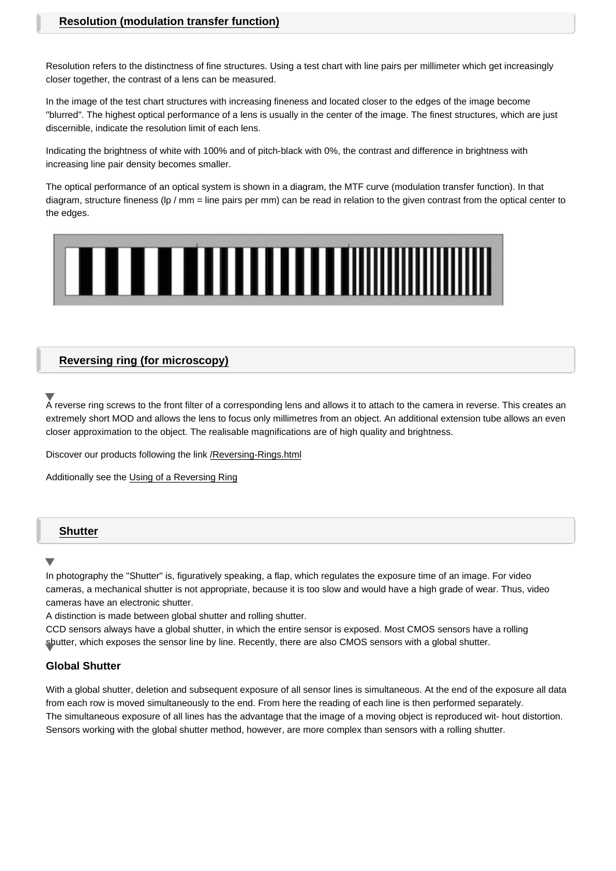<span id="page-12-0"></span>Resolution refers to the distinctness of fine structures. Using a test chart with line pairs per millimeter which get increasingly closer together, the contrast of a lens can be measured.

In the image of the test chart structures with increasing fineness and located closer to the edges of the image become "blurred". The highest optical performance of a lens is usually in the center of the image. The finest structures, which are just discernible, indicate the resolution limit of each lens.

Indicating the brightness of white with 100% and of pitch-black with 0%, the contrast and difference in brightness with increasing line pair density becomes smaller.

The optical performance of an optical system is shown in a diagram, the MTF curve (modulation transfer function). In that diagram, structure fineness (lp / mm = line pairs per mm) can be read in relation to the given contrast from the optical center to the edges.

### Reversing ring (for microscopy)

A reverse ring screws to the front filter of a corresponding lens and allows it to attach to the camera in reverse. This creates an extremely short MOD and allows the lens to focus only millimetres from an object. An additional extension tube allows an even closer approximation to the object. The realisable magnifications are of high quality and brightness.

Discover our products following the link /Reversing-Rings.html

Additionally see the Using of a Reversing Ring

## **Shutter**

In photography the "Shutter" is, figuratively speaking, a flap, which regulates the exposure time of an image. For video cameras, a mechanical shutter is not appropriate, because it is too slow and would have a high grade of wear. Thus, video cameras have an electronic shutter.

A distinction is made between global shutter and rolling shutter.

CCD sensors always have a global shutter, in which the entire sensor is exposed. Most CMOS sensors have a rolling shutter, which exposes the sensor line by line. Recently, there are also CMOS sensors with a global shutter.

### Global Shutter

With a global shutter, deletion and subsequent exposure of all sensor lines is simultaneous. At the end of the exposure all data from each row is moved simultaneously to the end. From here the reading of each line is then performed separately. The simultaneous exposure of all lines has the advantage that the image of a moving object is reproduced wit- hout distortion. Sensors working with the global shutter method, however, are more complex than sensors with a rolling shutter.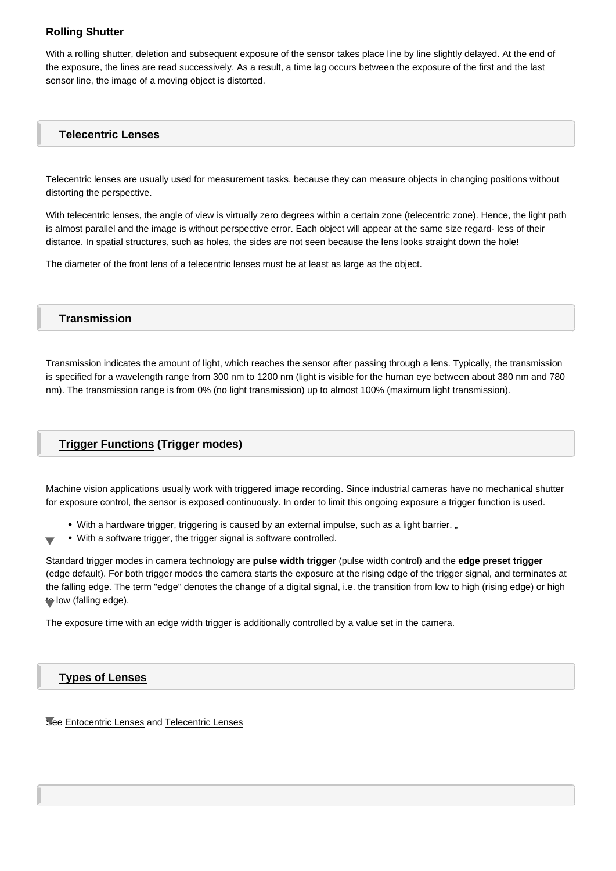With a rolling shutter, deletion and subsequent exposure of the sensor takes place line by line slightly delayed. At the end of the exposure, the lines are read successively. As a result, a time lag occurs between the exposure of the first and the last sensor line, the image of a moving object is distorted.

### Telecentric Lenses

Telecentric lenses are usually used for measurement tasks, because they can measure objects in changing positions without distorting the perspective.

With telecentric lenses, the angle of view is virtually zero degrees within a certain zone (telecentric zone). Hence, the light path is almost parallel and the image is without perspective error. Each object will appear at the same size regard- less of their distance. In spatial structures, such as holes, the sides are not seen because the lens looks straight down the hole!

The diameter of the front lens of a telecentric lenses must be at least as large as the object.

### **Transmission**

Transmission indicates the amount of light, which reaches the sensor after passing through a lens. Typically, the transmission is specified for a wavelength range from 300 nm to 1200 nm (light is visible for the human eye between about 380 nm and 780 nm). The transmission range is from 0% (no light transmission) up to almost 100% (maximum light transmission).

## Trigger Functions (Trigger modes)

Machine vision applications usually work with triggered image recording. Since industrial cameras have no mechanical shutter for exposure control, the sensor is exposed continuously. In order to limit this ongoing exposure a trigger function is used.

- . With a hardware trigger, triggering is caused by an external impulse, such as a light barrier. "
- With a software trigger, the trigger signal is software controlled.

Standard trigger modes in camera technology are pulse width trigger (pulse width control) and the edge preset trigger (edge default). For both trigger modes the camera starts the exposure at the rising edge of the trigger signal, and terminates at the falling edge. The term "edge" denotes the change of a digital signal, i.e. the transition from low to high (rising edge) or high to low (falling edge).

The exposure time with an edge width trigger is additionally controlled by a value set in the camera.

Types of Lenses

See Entocentric Lenses and Telecentric Lenses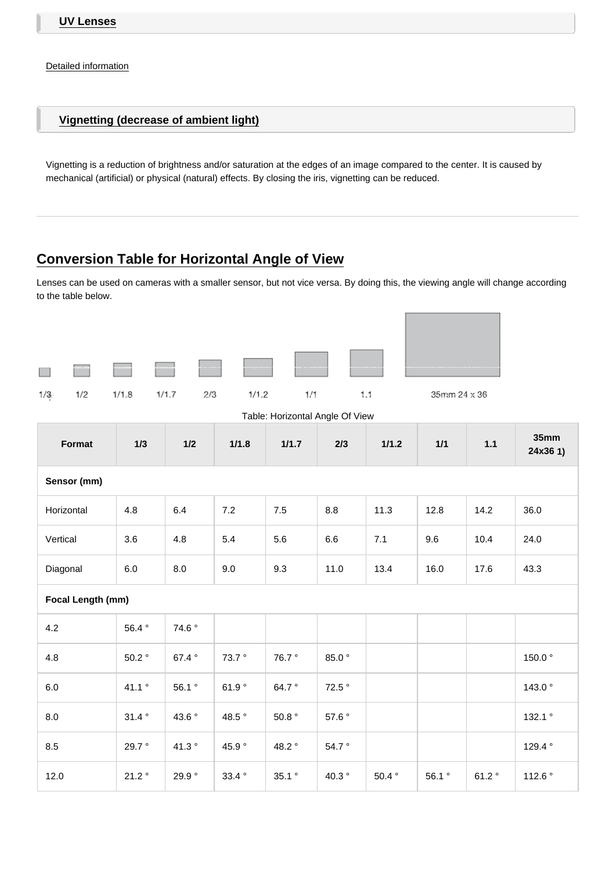<span id="page-14-0"></span>[Vignetting \(dec](/media/7412cf3509ba53376b32e6bfc925eb61;d;inline/UV_Lens_Presentation.pdf)rease of ambient light)

Vignetting is a reduction of brightness and/or saturation at the edges of an image compared to the center. It is caused by mechanical (artificial) or physical (natural) effects. By closing the iris, vignetting can be reduced.

# Conversion Table for Horizontal Angle of View

Lenses can be used on cameras with a smaller sensor, but not vice versa. By doing this, the viewing angle will change according to the table below.

 $\blacktriangledown$ 

| Table: Horizontal Angle Of View |       |         |                 |                   |         |          |       |       |                  |  |  |
|---------------------------------|-------|---------|-----------------|-------------------|---------|----------|-------|-------|------------------|--|--|
| Format                          | 1/3   | 1/2     | 1/1.8           | 1/1.7             | 2/3     | 1/1.2    | 1/1   | 1.1   | 35mm<br>24x361)  |  |  |
| Sensor (mm)                     |       |         |                 |                   |         |          |       |       |                  |  |  |
| Horizontal                      | 4.8   | 6.4     | 7.2             | $7.5\,$           | 8.8     | 11.3     | 12.8  | 14.2  | 36.0             |  |  |
| Vertical                        | 3.6   | 4.8     | 5.4             | 5.6               | $6.6\,$ | 7.1      | 9.6   | 10.4  | 24.0             |  |  |
| Diagonal                        | 6.0   | $8.0\,$ | 9.0             | 9.3               | 11.0    | 13.4     | 16.0  | 17.6  | 43.3             |  |  |
| Focal Length (mm)               |       |         |                 |                   |         |          |       |       |                  |  |  |
| 4.2                             | 56.4° | 74.6°   |                 |                   |         |          |       |       |                  |  |  |
| 4.8                             | 50.2° | 67.4°   | 73.7°           | 76.7°             | 85.0°   |          |       |       | 150.0°           |  |  |
| 6.0                             | 41.1° | 56.1°   | 61.9°           | 64.7°             | 72.5°   |          |       |       | 143.0°           |  |  |
| 8.0                             | 31.4° | 43.6°   | 48.5°           | $50.8$ $^{\circ}$ | 57.6°   |          |       |       | 132.1°           |  |  |
| 8.5                             | 29.7° | 41.3°   | 45.9°           | 48.2°             | 54.7°   |          |       |       | 129.4 $^{\circ}$ |  |  |
| 12.0                            | 21.2° | 29.9°   | 33.4 $^{\circ}$ | 35.1°             | 40.3°   | $50.4$ ° | 56.1° | 61.2° | 112.6°           |  |  |